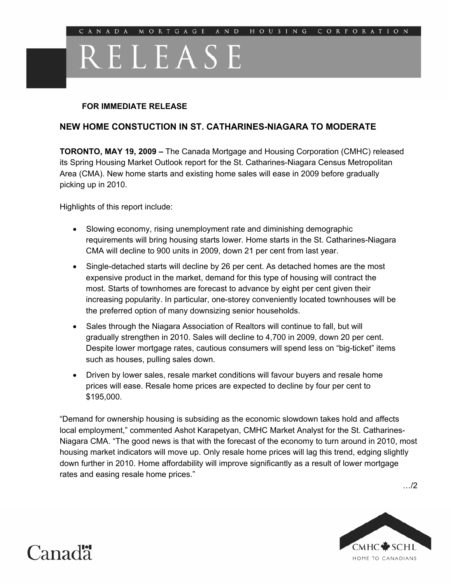## RELEASE

## **FOR IMMEDIATE RELEASE**

## **NEW HOME CONSTUCTION IN ST. CATHARINES-NIAGARA TO MODERATE**

**TORONTO, MAY 19, 2009 –** The Canada Mortgage and Housing Corporation (CMHC) released its Spring Housing Market Outlook report for the St. Catharines-Niagara Census Metropolitan Area (CMA). New home starts and existing home sales will ease in 2009 before gradually picking up in 2010.

Highlights of this report include:

- Slowing economy, rising unemployment rate and diminishing demographic requirements will bring housing starts lower. Home starts in the St. Catharines-Niagara CMA will decline to 900 units in 2009, down 21 per cent from last year.
- Single-detached starts will decline by 26 per cent. As detached homes are the most expensive product in the market, demand for this type of housing will contract the most. Starts of townhomes are forecast to advance by eight per cent given their increasing popularity. In particular, one-storey conveniently located townhouses will be the preferred option of many downsizing senior households.
- Sales through the Niagara Association of Realtors will continue to fall, but will gradually strengthen in 2010. Sales will decline to 4,700 in 2009, down 20 per cent. Despite lower mortgage rates, cautious consumers will spend less on "big-ticket" items such as houses, pulling sales down.
- Driven by lower sales, resale market conditions will favour buyers and resale home prices will ease. Resale home prices are expected to decline by four per cent to \$195,000.

"Demand for ownership housing is subsiding as the economic slowdown takes hold and affects local employment," commented Ashot Karapetyan, CMHC Market Analyst for the St. Catharines-Niagara CMA. "The good news is that with the forecast of the economy to turn around in 2010, most housing market indicators will move up. Only resale home prices will lag this trend, edging slightly down further in 2010. Home affordability will improve significantly as a result of lower mortgage rates and easing resale home prices."

…/2